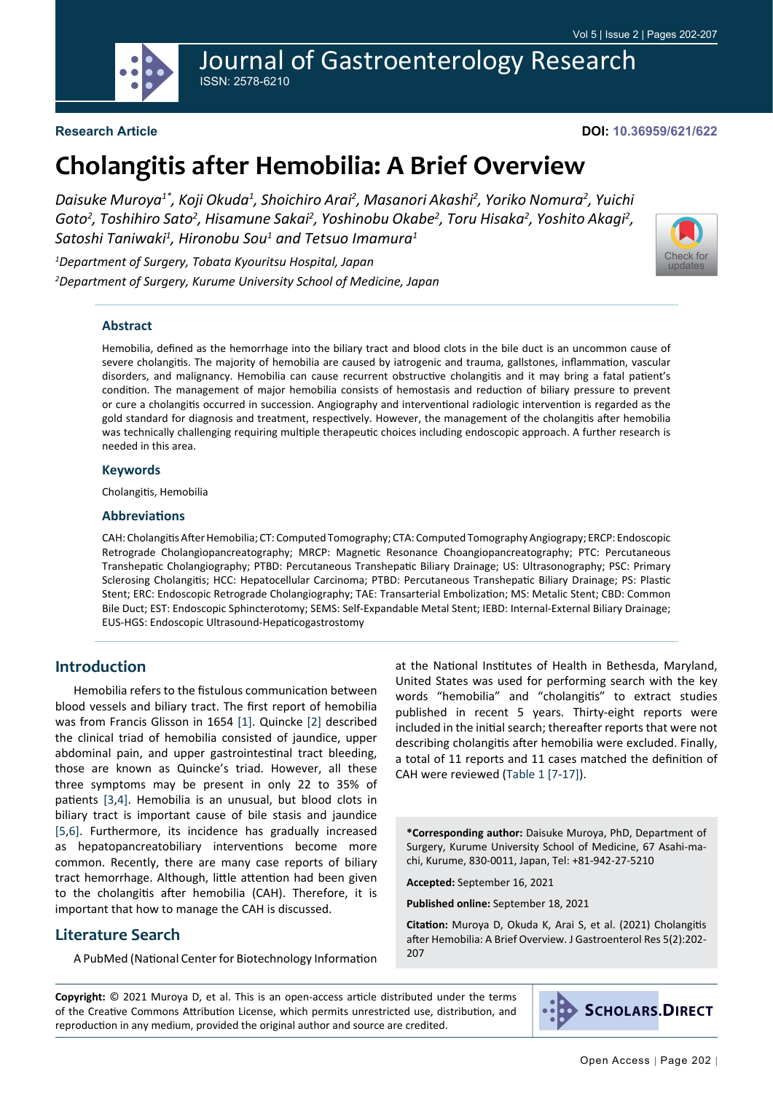

Journal of Gastroenterology Research ISSN: 2578-6210

## **Research Article**

#### **DOI: 10.36959/621/622**

[Check for](http://crossmark.crossref.org/dialog/?doi=10.36959/621/622&domain=pdf) updates

# **Cholangitis after Hemobilia: A Brief Overview**

*Daisuke Muroya1\*, Koji Okuda1 , Shoichiro Arai2 , Masanori Akashi2 , Yoriko Nomura2 , Yuichi*  Goto<sup>2</sup>, Toshihiro Sato<sup>2</sup>, Hisamune Sakai<sup>2</sup>, Yoshinobu Okabe<sup>2</sup>, Toru Hisaka<sup>2</sup>, Yoshito Akagi<sup>2</sup>,  $\mathcal S$ atoshi Taniwaki<sup>1</sup>, Hironobu Sou $^{\text{1}}$  and Tetsuo Imamura $^{\text{1}}$ 

*1 Department of Surgery, Tobata Kyouritsu Hospital, Japan 2 Department of Surgery, Kurume University School of Medicine, Japan*

#### **Abstract**

Hemobilia, defined as the hemorrhage into the biliary tract and blood clots in the bile duct is an uncommon cause of severe cholangitis. The majority of hemobilia are caused by iatrogenic and trauma, gallstones, inflammation, vascular disorders, and malignancy. Hemobilia can cause recurrent obstructive cholangitis and it may bring a fatal patient's condition. The management of major hemobilia consists of hemostasis and reduction of biliary pressure to prevent or cure a cholangitis occurred in succession. Angiography and interventional radiologic intervention is regarded as the gold standard for diagnosis and treatment, respectively. However, the management of the cholangitis after hemobilia was technically challenging requiring multiple therapeutic choices including endoscopic approach. A further research is needed in this area.

#### **Keywords**

Cholangitis, Hemobilia

#### **Abbreviations**

CAH: Cholangitis After Hemobilia; CT: Computed Tomography; CTA: Computed Tomography Angiograpy; ERCP: Endoscopic Retrograde Cholangiopancreatography; MRCP: Magnetic Resonance Choangiopancreatography; PTC: Percutaneous Transhepatic Cholangiography; PTBD: Percutaneous Transhepatic Biliary Drainage; US: Ultrasonography; PSC: Primary Sclerosing Cholangitis; HCC: Hepatocellular Carcinoma; PTBD: Percutaneous Transhepatic Biliary Drainage; PS: Plastic Stent; ERC: Endoscopic Retrograde Cholangiography; TAE: Transarterial Embolization; MS: Metalic Stent; CBD: Common Bile Duct; EST: Endoscopic Sphincterotomy; SEMS: Self-Expandable Metal Stent; IEBD: Internal-External Biliary Drainage; EUS-HGS: Endoscopic Ultrasound-Hepaticogastrostomy

## **Introduction**

Hemobilia refers to the fistulous communication between blood vessels and biliary tract. The first report of hemobilia was from Francis Glisson in 1654 [\[1](#page-4-0)]. Quincke [[2\]](#page-4-1) described the clinical triad of hemobilia consisted of jaundice, upper abdominal pain, and upper gastrointestinal tract bleeding, those are known as Quincke's triad. However, all these three symptoms may be present in only 22 to 35% of patients [[3](#page-4-2),[4\]](#page-4-3). Hemobilia is an unusual, but blood clots in biliary tract is important cause of bile stasis and jaundice [[5](#page-4-4),[6](#page-4-5)]. Furthermore, its incidence has gradually increased as hepatopancreatobiliary interventions become more common. Recently, there are many case reports of biliary tract hemorrhage. Although, little attention had been given to the cholangitis after hemobilia (CAH). Therefore, it is important that how to manage the CAH is discussed.

## **Literature Search**

A PubMed (National Center for Biotechnology Information

at the National Institutes of Health in Bethesda, Maryland, United States was used for performing search with the key words "hemobilia" and "cholangitis" to extract studies published in recent 5 years. Thirty-eight reports were included in the initial search; thereafter reports that were not describing cholangitis after hemobilia were excluded. Finally, a total of 11 reports and 11 cases matched the definition of CAH were reviewed [\(Table 1](#page-1-0) [[7](#page-4-6)[-17](#page-4-7)]).

**\*Corresponding author:** Daisuke Muroya, PhD, Department of Surgery, Kurume University School of Medicine, 67 Asahi-machi, Kurume, 830-0011, Japan, Tel: +81-942-27-5210

**Accepted:** September 16, 2021

**Published online:** September 18, 2021

**Citation:** Muroya D, Okuda K, Arai S, et al. (2021) Cholangitis after Hemobilia: A Brief Overview. J Gastroenterol Res 5(2):202- 207

**Copyright:** © 2021 Muroya D, et al. This is an open-access article distributed under the terms of the Creative Commons Attribution License, which permits unrestricted use, distribution, and reproduction in any medium, provided the original author and source are credited.



**SCHOLARS.DIRECT**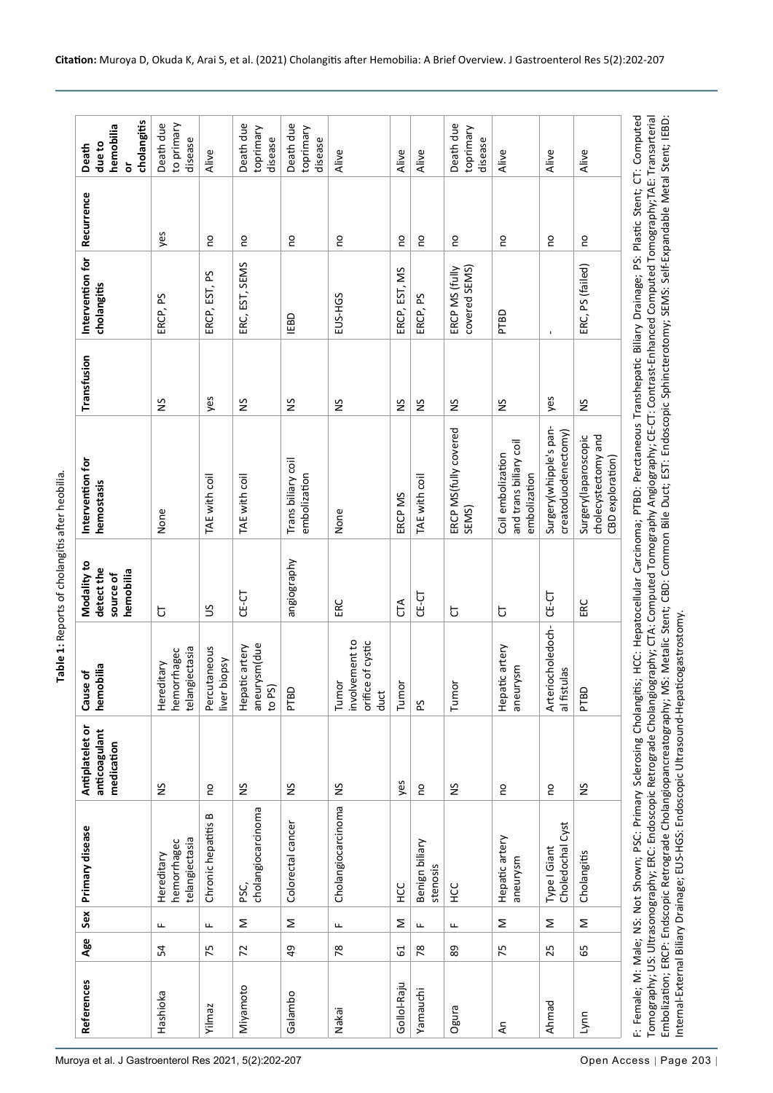<span id="page-1-0"></span>Table 1: Reports of cholangitis after heobilia. **Table 1:** Reports of cholangitis after heobilia.

| щ<br>54<br>Hashioka                                                                                                                                                                                                                                                                                                                                                                                                                                                                                                                      |                                             | medication    |                                                      | hemobilia<br>source of | hemostasis                                                                                                        |               | cholangitis                     |     | cholangitis<br>hemobilia<br>due to<br>ŏ |
|------------------------------------------------------------------------------------------------------------------------------------------------------------------------------------------------------------------------------------------------------------------------------------------------------------------------------------------------------------------------------------------------------------------------------------------------------------------------------------------------------------------------------------------|---------------------------------------------|---------------|------------------------------------------------------|------------------------|-------------------------------------------------------------------------------------------------------------------|---------------|---------------------------------|-----|-----------------------------------------|
|                                                                                                                                                                                                                                                                                                                                                                                                                                                                                                                                          | telangiectasia<br>hemorrhagec<br>Hereditary | š             | telangiectasia<br>hemorrhagec<br>litary<br>Hered     | Ⴆ                      | None                                                                                                              | $\frac{5}{2}$ | ERCP, PS                        | yes | Death due<br>to primary<br>disease      |
| щ<br>75<br>Yilmaz                                                                                                                                                                                                                                                                                                                                                                                                                                                                                                                        | Chronic hepatitis B                         | o             | Percutaneous<br>liver biopsy                         | S                      | TAE with coil                                                                                                     | yes           | ERCP, EST, PS                   | S   | Alive                                   |
| Σ<br>72<br>Miyamoto                                                                                                                                                                                                                                                                                                                                                                                                                                                                                                                      | cholangiocarcinoma<br>pSC,                  | S             | aneurysm(due<br>Hepatic artery<br>to PS)             | $CE-CT$                | TAE with coil                                                                                                     | š             | ERC, EST, SEMS                  | g   | Death due<br>toprimary<br>disease       |
| Σ<br>$\overline{6}$<br>Galambo                                                                                                                                                                                                                                                                                                                                                                                                                                                                                                           | Colorectal cancer                           | $\frac{5}{2}$ | <b>DELd</b>                                          | angiography            | Trans biliary coil<br>embolization                                                                                | $\frac{5}{2}$ | <b>IEBD</b>                     | S   | Death due<br>toprimary<br>disease       |
| Щ<br>78<br>Nakai                                                                                                                                                                                                                                                                                                                                                                                                                                                                                                                         | Cholangiocarcinoma                          | š             | involvement to<br>orifice of cystic<br>Tumor<br>duct | ERC                    | None                                                                                                              | SN            | EUS-HGS                         | S   | Alive                                   |
| Σ<br>61<br>Gollol-Raju                                                                                                                                                                                                                                                                                                                                                                                                                                                                                                                   | ЭЭH                                         | yes           | Tumor                                                | CTA                    | ERCP MS                                                                                                           | $\frac{5}{2}$ | ERCP, EST, MS                   | S   | Alive                                   |
| Щ.<br>$\overline{78}$<br>Yamauchi                                                                                                                                                                                                                                                                                                                                                                                                                                                                                                        | Benign biliary<br>stenosis                  | S             | 59                                                   | <b>CE-CT</b>           | TAE with coil                                                                                                     | š             | ERCP, PS                        | ρ   | Alive                                   |
| щ<br>89<br>Ogura                                                                                                                                                                                                                                                                                                                                                                                                                                                                                                                         | <b>CC</b><br>HC                             | S             | Tumor                                                | 5                      | ERCP MS(fully covered<br>SEMS)                                                                                    | $\frac{5}{2}$ | covered SEMS)<br>ERCP MS (fully | o   | Death due<br>toprimary<br>disease       |
| Σ<br>75<br>ξ                                                                                                                                                                                                                                                                                                                                                                                                                                                                                                                             | Hepatic artery<br>aneurysm                  | S             | Hepatic artery<br>aneurysm                           | Ⴆ                      | and trans biliary coil<br>Coil embolization<br>embolization                                                       | SN            | <b>PTBD</b>                     | S   | Alive                                   |
| Σ<br>25<br>Ahmad                                                                                                                                                                                                                                                                                                                                                                                                                                                                                                                         | Choledochal Cyst<br>Type I Giant            | g             | Arteriocholedoch-<br>al fistulas                     | <b>CE-CT</b>           | Surgery(whipple's pan-<br>creatoduodenectomy)                                                                     | yes           | $\mathbf{I}$                    | 0u  | Alive                                   |
| Σ<br>65<br>Lynn                                                                                                                                                                                                                                                                                                                                                                                                                                                                                                                          | Cholangitis                                 | š             | PTBD                                                 | ERC                    | cholecystectomy and<br>Surgery(laparoscopic<br>CBD exploration)                                                   | š             | ERC, PS (failed)                | S   | Alive                                   |
| F: Female; MS: Not Shown; PSC: Primary Sclerosing Cholangitis; HCC: Hepatocellular Carcinoma; PTBD: Perctaneous Transhepatic Biliary Drainage; PS: Plastic Stent; CT: Computed<br>Tomography; US: Ultrasonography; ERC: Endoscopic Retrograde Cholangiography; CTA: Computed Tomography Angiography; CE-CT: Contrast-Enhanced Computed Tomography;TAE: Transarterial<br>Internal-External Biliary Drainage; EUS-HGS: Endoscopic Ultrasound-Hepaticogastrostomy.<br>Embolization; ERCP: Endscopic Retrograde Cholangiopancreatography; MI |                                             |               |                                                      |                        | S: Metalic Stent; CBD: Common Bile Duct; EST: Endoscopic Sphincterotomy; SEMS: Self-Expandable Metal Stent; IEBD: |               |                                 |     |                                         |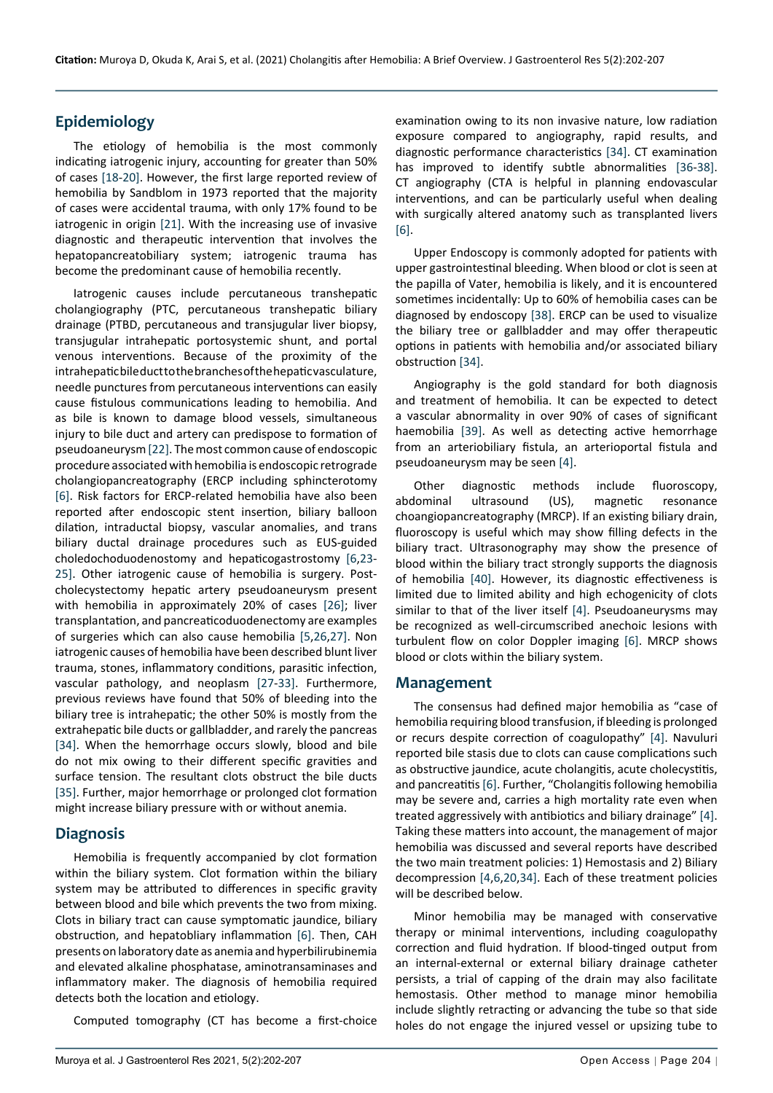## **Epidemiology**

The etiology of hemobilia is the most commonly indicating iatrogenic injury, accounting for greater than 50% of cases [\[18](#page-4-10)-[20\]](#page-4-9). However, the first large reported review of hemobilia by Sandblom in 1973 reported that the majority of cases were accidental trauma, with only 17% found to be iatrogenic in origin [\[21\]](#page-4-11). With the increasing use of invasive diagnostic and therapeutic intervention that involves the hepatopancreatobiliary system; iatrogenic trauma has become the predominant cause of hemobilia recently.

Iatrogenic causes include percutaneous transhepatic cholangiography (PTC, percutaneous transhepatic biliary drainage (PTBD, percutaneous and transjugular liver biopsy, transjugular intrahepatic portosystemic shunt, and portal venous interventions. Because of the proximity of the intrahepatic bile duct to the branches of the hepatic vasculature, needle punctures from percutaneous interventions can easily cause fistulous communications leading to hemobilia. And as bile is known to damage blood vessels, simultaneous injury to bile duct and artery can predispose to formation of pseudoaneurysm [\[22](#page-4-12)]. The most common cause of endoscopic procedure associated with hemobilia is endoscopic retrograde cholangiopancreatography (ERCP including sphincterotomy [[6\]](#page-4-5). Risk factors for ERCP-related hemobilia have also been reported after endoscopic stent insertion, biliary balloon dilation, intraductal biopsy, vascular anomalies, and trans biliary ductal drainage procedures such as EUS-guided choledochoduodenostomy and hepaticogastrostomy [[6](#page-4-5),[23](#page-4-13)- [25\]](#page-4-14). Other iatrogenic cause of hemobilia is surgery. Postcholecystectomy hepatic artery pseudoaneurysm present with hemobilia in approximately 20% of cases [\[26](#page-4-15)]; liver transplantation, and pancreaticoduodenectomy are examples of surgeries which can also cause hemobilia [\[5](#page-4-4),[26](#page-4-15)[,27](#page-4-16)]. Non iatrogenic causes of hemobilia have been described blunt liver trauma, stones, inflammatory conditions, parasitic infection, vascular pathology, and neoplasm [\[27](#page-4-16)-[33](#page-4-17)]. Furthermore, previous reviews have found that 50% of bleeding into the biliary tree is intrahepatic; the other 50% is mostly from the extrahepatic bile ducts or gallbladder, and rarely the pancreas [[34\]](#page-4-8). When the hemorrhage occurs slowly, blood and bile do not mix owing to their different specific gravities and surface tension. The resultant clots obstruct the bile ducts [[35\]](#page-5-4). Further, major hemorrhage or prolonged clot formation might increase biliary pressure with or without anemia.

## **Diagnosis**

Hemobilia is frequently accompanied by clot formation within the biliary system. Clot formation within the biliary system may be attributed to differences in specific gravity between blood and bile which prevents the two from mixing. Clots in biliary tract can cause symptomatic jaundice, biliary obstruction, and hepatobliary inflammation [[6\]](#page-4-5). Then, CAH presents on laboratory date as anemia and hyperbilirubinemia and elevated alkaline phosphatase, aminotransaminases and inflammatory maker. The diagnosis of hemobilia required detects both the location and etiology.

Computed tomography (CT has become a first-choice

examination owing to its non invasive nature, low radiation exposure compared to angiography, rapid results, and diagnostic performance characteristics [[34](#page-4-8)]. CT examination has improved to identify subtle abnormalities [[36](#page-5-0)-[38](#page-5-1)]. CT angiography (CTA is helpful in planning endovascular interventions, and can be particularly useful when dealing with surgically altered anatomy such as transplanted livers [[6\]](#page-4-5).

Upper Endoscopy is commonly adopted for patients with upper gastrointestinal bleeding. When blood or clot is seen at the papilla of Vater, hemobilia is likely, and it is encountered sometimes incidentally: Up to 60% of hemobilia cases can be diagnosed by endoscopy [[38](#page-5-1)]. ERCP can be used to visualize the biliary tree or gallbladder and may offer therapeutic options in patients with hemobilia and/or associated biliary obstruction [[34](#page-4-8)].

Angiography is the gold standard for both diagnosis and treatment of hemobilia. It can be expected to detect a vascular abnormality in over 90% of cases of significant haemobilia [\[39](#page-5-2)]. As well as detecting active hemorrhage from an arteriobiliary fistula, an arterioportal fistula and pseudoaneurysm may be seen [[4\]](#page-4-3).

Other diagnostic methods include fluoroscopy, abdominal ultrasound (US), magnetic resonance choangiopancreatography (MRCP). If an existing biliary drain, fluoroscopy is useful which may show filling defects in the biliary tract. Ultrasonography may show the presence of blood within the biliary tract strongly supports the diagnosis of hemobilia [\[40\]](#page-5-3). However, its diagnostic effectiveness is limited due to limited ability and high echogenicity of clots similar to that of the liver itself [[4\]](#page-4-3). Pseudoaneurysms may be recognized as well-circumscribed anechoic lesions with turbulent flow on color Doppler imaging [\[6](#page-4-5)]. MRCP shows blood or clots within the biliary system.

#### **Management**

The consensus had defined major hemobilia as "case of hemobilia requiring blood transfusion, if bleeding is prolonged or recurs despite correction of coagulopathy" [[4](#page-4-3)]. Navuluri reported bile stasis due to clots can cause complications such as obstructive jaundice, acute cholangitis, acute cholecystitis, and pancreatitis [[6\]](#page-4-5). Further, "Cholangitis following hemobilia may be severe and, carries a high mortality rate even when treated aggressively with antibiotics and biliary drainage" [\[4](#page-4-3)]. Taking these matters into account, the management of major hemobilia was discussed and several reports have described the two main treatment policies: 1) Hemostasis and 2) Biliary decompression [[4](#page-4-3),[6](#page-4-5),[20](#page-4-9),[34\]](#page-4-8). Each of these treatment policies will be described below.

Minor hemobilia may be managed with conservative therapy or minimal interventions, including coagulopathy correction and fluid hydration. If blood-tinged output from an internal-external or external biliary drainage catheter persists, a trial of capping of the drain may also facilitate hemostasis. Other method to manage minor hemobilia include slightly retracting or advancing the tube so that side holes do not engage the injured vessel or upsizing tube to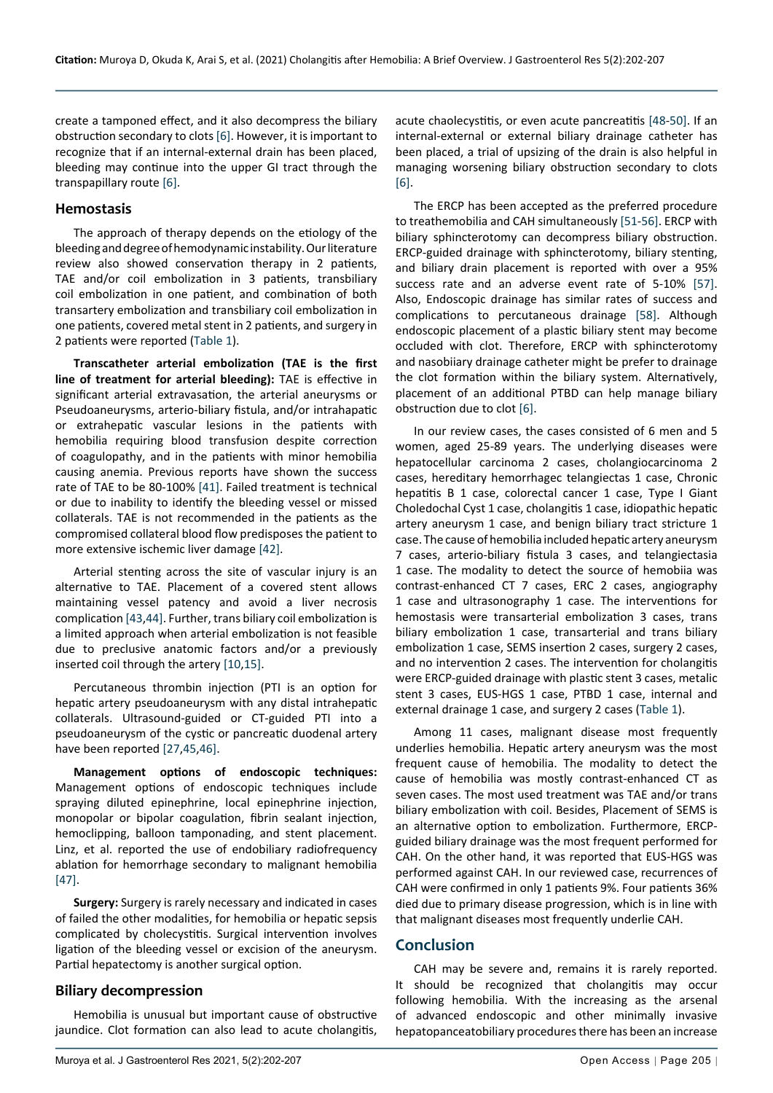create a tamponed effect, and it also decompress the biliary obstruction secondary to clots [[6\]](#page-4-5). However, it is important to recognize that if an internal-external drain has been placed, bleeding may continue into the upper GI tract through the transpapillary route [\[6](#page-4-5)].

#### **Hemostasis**

The approach of therapy depends on the etiology of the bleeding and degree of hemodynamic instability. Our literature review also showed conservation therapy in 2 patients, TAE and/or coil embolization in 3 patients, transbiliary coil embolization in one patient, and combination of both transartery embolization and transbiliary coil embolization in one patients, covered metal stent in 2 patients, and surgery in 2 patients were reported [\(Table 1\)](#page-1-0).

**Transcatheter arterial embolization (TAE is the first line of treatment for arterial bleeding):** TAE is effective in significant arterial extravasation, the arterial aneurysms or Pseudoaneurysms, arterio-biliary fistula, and/or intrahapatic or extrahepatic vascular lesions in the patients with hemobilia requiring blood transfusion despite correction of coagulopathy, and in the patients with minor hemobilia causing anemia. Previous reports have shown the success rate of TAE to be 80-100% [[41](#page-5-11)]. Failed treatment is technical or due to inability to identify the bleeding vessel or missed collaterals. TAE is not recommended in the patients as the compromised collateral blood flow predisposes the patient to more extensive ischemic liver damage [\[42\]](#page-5-12).

Arterial stenting across the site of vascular injury is an alternative to TAE. Placement of a covered stent allows maintaining vessel patency and avoid a liver necrosis complication [[43](#page-5-13),[44\]](#page-5-14). Further, trans biliary coil embolization is a limited approach when arterial embolization is not feasible due to preclusive anatomic factors and/or a previously inserted coil through the artery [\[10](#page-4-18),[15](#page-4-19)].

Percutaneous thrombin injection (PTI is an option for hepatic artery pseudoaneurysm with any distal intrahepatic collaterals. Ultrasound-guided or CT-guided PTI into a pseudoaneurysm of the cystic or pancreatic duodenal artery have been reported [\[27,](#page-4-16)[45](#page-5-15),[46\]](#page-5-16).

**Management options of endoscopic techniques:** Management options of endoscopic techniques include spraying diluted epinephrine, local epinephrine injection, monopolar or bipolar coagulation, fibrin sealant injection, hemoclipping, balloon tamponading, and stent placement. Linz, et al. reported the use of endobiliary radiofrequency ablation for hemorrhage secondary to malignant hemobilia [[47\]](#page-5-17).

**Surgery:** Surgery is rarely necessary and indicated in cases of failed the other modalities, for hemobilia or hepatic sepsis complicated by cholecystitis. Surgical intervention involves ligation of the bleeding vessel or excision of the aneurysm. Partial hepatectomy is another surgical option.

### **Biliary decompression**

Hemobilia is unusual but important cause of obstructive jaundice. Clot formation can also lead to acute cholangitis,

acute chaolecystitis, or even acute pancreatitis [[48](#page-5-5)-[50](#page-5-6)]. If an internal-external or external biliary drainage catheter has been placed, a trial of upsizing of the drain is also helpful in managing worsening biliary obstruction secondary to clots [[6\]](#page-4-5).

The ERCP has been accepted as the preferred procedure to treathemobilia and CAH simultaneously [[51](#page-5-7)-[56](#page-5-8)]. ERCP with biliary sphincterotomy can decompress biliary obstruction. ERCP-guided drainage with sphincterotomy, biliary stenting, and biliary drain placement is reported with over a 95% success rate and an adverse event rate of 5-10% [\[57](#page-5-9)]. Also, Endoscopic drainage has similar rates of success and complications to percutaneous drainage [[58\]](#page-5-10). Although endoscopic placement of a plastic biliary stent may become occluded with clot. Therefore, ERCP with sphincterotomy and nasobiiary drainage catheter might be prefer to drainage the clot formation within the biliary system. Alternatively, placement of an additional PTBD can help manage biliary obstruction due to clot [[6\]](#page-4-5).

In our review cases, the cases consisted of 6 men and 5 women, aged 25-89 years. The underlying diseases were hepatocellular carcinoma 2 cases, cholangiocarcinoma 2 cases, hereditary hemorrhagec telangiectas 1 case, Chronic hepatitis B 1 case, colorectal cancer 1 case, Type I Giant Choledochal Cyst 1 case, cholangitis 1 case, idiopathic hepatic artery aneurysm 1 case, and benign biliary tract stricture 1 case. The cause of hemobilia included hepatic artery aneurysm 7 cases, arterio-biliary fistula 3 cases, and telangiectasia 1 case. The modality to detect the source of hemobiia was contrast-enhanced CT 7 cases, ERC 2 cases, angiography 1 case and ultrasonography 1 case. The interventions for hemostasis were transarterial embolization 3 cases, trans biliary embolization 1 case, transarterial and trans biliary embolization 1 case, SEMS insertion 2 cases, surgery 2 cases, and no intervention 2 cases. The intervention for cholangitis were ERCP-guided drainage with plastic stent 3 cases, metalic stent 3 cases, EUS-HGS 1 case, PTBD 1 case, internal and external drainage 1 case, and surgery 2 cases ([Table 1](#page-1-0)).

Among 11 cases, malignant disease most frequently underlies hemobilia. Hepatic artery aneurysm was the most frequent cause of hemobilia. The modality to detect the cause of hemobilia was mostly contrast-enhanced CT as seven cases. The most used treatment was TAE and/or trans biliary embolization with coil. Besides, Placement of SEMS is an alternative option to embolization. Furthermore, ERCPguided biliary drainage was the most frequent performed for CAH. On the other hand, it was reported that EUS-HGS was performed against CAH. In our reviewed case, recurrences of CAH were confirmed in only 1 patients 9%. Four patients 36% died due to primary disease progression, which is in line with that malignant diseases most frequently underlie CAH.

## **Conclusion**

CAH may be severe and, remains it is rarely reported. It should be recognized that cholangitis may occur following hemobilia. With the increasing as the arsenal of advanced endoscopic and other minimally invasive hepatopanceatobiliary procedures there has been an increase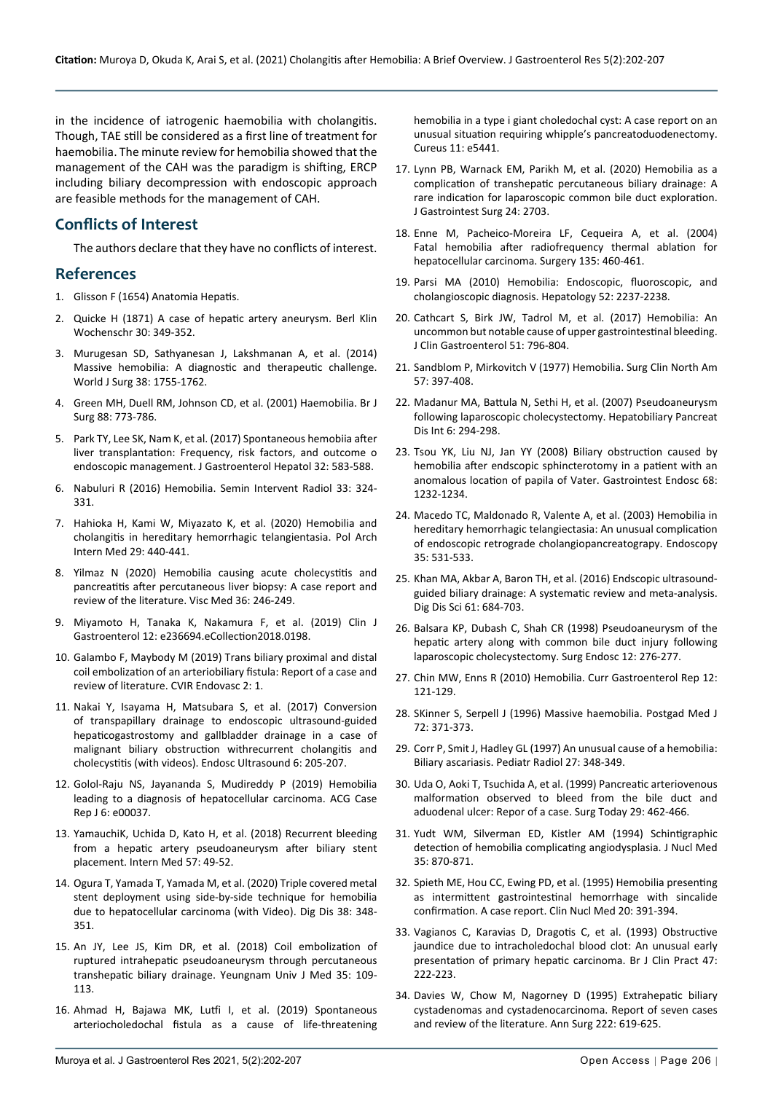in the incidence of iatrogenic haemobilia with cholangitis. Though, TAE still be considered as a first line of treatment for haemobilia. The minute review for hemobilia showed that the management of the CAH was the paradigm is shifting, ERCP including biliary decompression with endoscopic approach are feasible methods for the management of CAH.

## **Conflicts of Interest**

The authors declare that they have no conflicts of interest.

### **References**

- <span id="page-4-0"></span>1. Glisson F (1654) Anatomia Hepatis.
- <span id="page-4-1"></span>2. Quicke H (1871) A case of hepatic artery aneurysm. Berl Klin Wochenschr 30: 349-352.
- <span id="page-4-2"></span>3. [Murugesan SD, Sathyanesan J, Lakshmanan A, et al. \(2014\)](https://pubmed.ncbi.nlm.nih.gov/24381048/)  [Massive hemobilia: A diagnostic and therapeutic challenge.](https://pubmed.ncbi.nlm.nih.gov/24381048/)  [World J Surg 38: 1755-1762.](https://pubmed.ncbi.nlm.nih.gov/24381048/)
- <span id="page-4-3"></span>4. [Green MH, Duell RM, Johnson CD, et al. \(2001\) Haemobilia. Br J](https://pubmed.ncbi.nlm.nih.gov/11412246/)  [Surg 88: 773-786.](https://pubmed.ncbi.nlm.nih.gov/11412246/)
- <span id="page-4-4"></span>5. [Park TY, Lee SK, Nam K, et al. \(2017\) Spontaneous hemobiia after](https://pubmed.ncbi.nlm.nih.gov/27449807/)  [liver transplantation: Frequency, risk factors, and outcome o](https://pubmed.ncbi.nlm.nih.gov/27449807/)  [endoscopic management. J Gastroenterol Hepatol 32: 583-588.](https://pubmed.ncbi.nlm.nih.gov/27449807/)
- <span id="page-4-5"></span>6. [Nabuluri R \(2016\) Hemobilia. Semin Intervent Radiol 33: 324-](https://pubmed.ncbi.nlm.nih.gov/27904252/) [331.](https://pubmed.ncbi.nlm.nih.gov/27904252/)
- <span id="page-4-6"></span>7. [Hahioka H, Kami W, Miyazato K, et al. \(2020\) Hemobilia and](https://pubmed.ncbi.nlm.nih.gov/32155138/)  [cholangitis in hereditary hemorrhagic telangientasia. Pol Arch](https://pubmed.ncbi.nlm.nih.gov/32155138/)  [Intern Med 29: 440-441.](https://pubmed.ncbi.nlm.nih.gov/32155138/)
- 8. [Yilmaz N \(2020\) Hemobilia causing acute cholecystitis and](https://www.karger.com/Article/FullText/503365)  [pancreatitis after percutaneous liver biopsy: A case report and](https://www.karger.com/Article/FullText/503365)  [review of the literature. Visc Med 36: 246-249.](https://www.karger.com/Article/FullText/503365)
- 9. Miyamoto H, Tanaka K, Nakamura F, et al. (2019) Clin J Gastroenterol 12: e236694.eCollection2018.0198.
- <span id="page-4-18"></span>10. [Galambo F, Maybody M \(2019\) Trans biliary proximal and distal](https://pubmed.ncbi.nlm.nih.gov/30652167/)  [coil embolization of an arteriobiliary fistula: Report of a case and](https://pubmed.ncbi.nlm.nih.gov/30652167/)  [review of literature. CVIR Endovasc 2: 1.](https://pubmed.ncbi.nlm.nih.gov/30652167/)
- 11. [Nakai Y, Isayama H, Matsubara S, et al. \(2017\) Conversion](https://pubmed.ncbi.nlm.nih.gov/28621299/)  [of transpapillary drainage to endoscopic ultrasound-guided](https://pubmed.ncbi.nlm.nih.gov/28621299/)  [hepaticogastrostomy and gallbladder drainage in a case of](https://pubmed.ncbi.nlm.nih.gov/28621299/)  [malignant biliary obstruction withrecurrent cholangitis and](https://pubmed.ncbi.nlm.nih.gov/28621299/)  [cholecystitis \(with videos\). Endosc Ultrasound 6: 205-207.](https://pubmed.ncbi.nlm.nih.gov/28621299/)
- 12. [Golol-Raju NS, Jayananda S, Mudireddy P \(2019\) Hemobilia](https://pubmed.ncbi.nlm.nih.gov/31616728/)  [leading to a diagnosis of hepatocellular carcinoma. ACG Case](https://pubmed.ncbi.nlm.nih.gov/31616728/)  [Rep J 6: e00037.](https://pubmed.ncbi.nlm.nih.gov/31616728/)
- 13. [YamauchiK, Uchida D, Kato H, et al. \(2018\) Recurrent bleeding](https://pubmed.ncbi.nlm.nih.gov/29033423/)  [from a hepatic artery pseudoaneurysm after biliary stent](https://pubmed.ncbi.nlm.nih.gov/29033423/)  [placement. Intern Med 57: 49-52.](https://pubmed.ncbi.nlm.nih.gov/29033423/)
- 14. [Ogura T, Yamada T, Yamada M, et al. \(2020\) Triple covered metal](https://pubmed.ncbi.nlm.nih.gov/31830747/)  [stent deployment using side-by-side technique for hemobilia](https://pubmed.ncbi.nlm.nih.gov/31830747/)  [due to hepatocellular carcinoma \(with Video\). Dig Dis 38: 348-](https://pubmed.ncbi.nlm.nih.gov/31830747/) [351.](https://pubmed.ncbi.nlm.nih.gov/31830747/)
- <span id="page-4-19"></span>15. [An JY, Lee JS, Kim DR, et al. \(2018\) Coil embolization of](https://pubmed.ncbi.nlm.nih.gov/31620580/)  [ruptured intrahepatic pseudoaneurysm through percutaneous](https://pubmed.ncbi.nlm.nih.gov/31620580/)  [transhepatic biliary drainage. Yeungnam Univ J Med 35: 109-](https://pubmed.ncbi.nlm.nih.gov/31620580/) [113.](https://pubmed.ncbi.nlm.nih.gov/31620580/)
- 16. [Ahmad H, Bajawa MK, Lutfi I, et al. \(2019\) Spontaneous](https://pubmed.ncbi.nlm.nih.gov/31632886/)  [arteriocholedochal fistula as a cause of life-threatening](https://pubmed.ncbi.nlm.nih.gov/31632886/)

[hemobilia in a type i giant choledochal cyst: A case report on an](https://pubmed.ncbi.nlm.nih.gov/31632886/)  [unusual situation requiring whipple's pancreatoduodenectomy.](https://pubmed.ncbi.nlm.nih.gov/31632886/)  [Cureus 11: e5441.](https://pubmed.ncbi.nlm.nih.gov/31632886/)

- <span id="page-4-7"></span>17. [Lynn PB, Warnack EM, Parikh M, et al. \(2020\) Hemobilia as a](https://pubmed.ncbi.nlm.nih.gov/32607858/)  [complication of transhepatic percutaneous biliary drainage: A](https://pubmed.ncbi.nlm.nih.gov/32607858/)  [rare indication for laparoscopic common bile duct exploration.](https://pubmed.ncbi.nlm.nih.gov/32607858/)  [J Gastrointest Surg 24: 2703.](https://pubmed.ncbi.nlm.nih.gov/32607858/)
- <span id="page-4-10"></span>18. [Enne M, Pacheico-Moreira LF, Cequeira A, et al. \(2004\)](https://pubmed.ncbi.nlm.nih.gov/15041977/)  [Fatal hemobilia after radiofrequency thermal ablation for](https://pubmed.ncbi.nlm.nih.gov/15041977/)  [hepatocellular carcinoma. Surgery 135: 460-461.](https://pubmed.ncbi.nlm.nih.gov/15041977/)
- 19. [Parsi MA \(2010\) Hemobilia: Endoscopic, fluoroscopic, and](https://pubmed.ncbi.nlm.nih.gov/21105096/)  [cholangioscopic diagnosis. Hepatology 52: 2237-2238.](https://pubmed.ncbi.nlm.nih.gov/21105096/)
- <span id="page-4-9"></span>20. [Cathcart S, Birk JW, Tadrol M, et al. \(2017\) Hemobilia: An](https://pubmed.ncbi.nlm.nih.gov/28644311/)  [uncommon but notable cause of upper gastrointestinal bleeding.](https://pubmed.ncbi.nlm.nih.gov/28644311/)  [J Clin Gastroenterol 51: 796-804.](https://pubmed.ncbi.nlm.nih.gov/28644311/)
- <span id="page-4-11"></span>21. [Sandblom P, Mirkovitch V \(1977\) Hemobilia. Surg Clin North Am](https://pubmed.ncbi.nlm.nih.gov/322339/)  [57: 397-408.](https://pubmed.ncbi.nlm.nih.gov/322339/)
- <span id="page-4-12"></span>22. [Madanur MA, Battula N, Sethi H, et al. \(2007\) Pseudoaneurysm](https://pubmed.ncbi.nlm.nih.gov/17548254/)  [following laparoscopic cholecystectomy. Hepatobiliary Pancreat](https://pubmed.ncbi.nlm.nih.gov/17548254/)  [Dis Int 6: 294-298.](https://pubmed.ncbi.nlm.nih.gov/17548254/)
- <span id="page-4-13"></span>23. [Tsou YK, Liu NJ, Jan YY \(2008\) Biliary obstruction caused by](https://pubmed.ncbi.nlm.nih.gov/18582881/)  [hemobilia after endscopic sphincterotomy in a patient with an](https://pubmed.ncbi.nlm.nih.gov/18582881/)  [anomalous location of papila of Vater. Gastrointest Endosc 68:](https://pubmed.ncbi.nlm.nih.gov/18582881/)  [1232-1234.](https://pubmed.ncbi.nlm.nih.gov/18582881/)
- 24. [Macedo TC, Maldonado R, Valente A, et al. \(2003\) Hemobilia in](https://pubmed.ncbi.nlm.nih.gov/12783354/)  [hereditary hemorrhagic telangiectasia: An unusual complication](https://pubmed.ncbi.nlm.nih.gov/12783354/)  [of endoscopic retrograde cholangiopancreatograpy. Endoscopy](https://pubmed.ncbi.nlm.nih.gov/12783354/)  [35: 531-533.](https://pubmed.ncbi.nlm.nih.gov/12783354/)
- <span id="page-4-14"></span>25. [Khan MA, Akbar A, Baron TH, et al. \(2016\) Endscopic ultrasound](https://pubmed.ncbi.nlm.nih.gov/26518417/)[guided biliary drainage: A systematic review and meta-analysis.](https://pubmed.ncbi.nlm.nih.gov/26518417/)  [Dig Dis Sci 61: 684-703.](https://pubmed.ncbi.nlm.nih.gov/26518417/)
- <span id="page-4-15"></span>26. [Balsara KP, Dubash C, Shah CR \(1998\) Pseudoaneurysm of the](https://pubmed.ncbi.nlm.nih.gov/9502712/)  [hepatic artery along with common bile duct injury following](https://pubmed.ncbi.nlm.nih.gov/9502712/)  [laparoscopic cholecystectomy. Surg Endosc 12: 276-277.](https://pubmed.ncbi.nlm.nih.gov/9502712/)
- <span id="page-4-16"></span>27. [Chin MW, Enns R \(2010\) Hemobilia. Curr Gastroenterol Rep 12:](https://link.springer.com/article/10.1007/s11894-010-0092-5)  [121-129.](https://link.springer.com/article/10.1007/s11894-010-0092-5)
- 28. [SKinner S, Serpell J \(1996\) Massive haemobilia. Postgad Med J](https://pubmed.ncbi.nlm.nih.gov/8758022/)  [72: 371-373.](https://pubmed.ncbi.nlm.nih.gov/8758022/)
- 29. [Corr P, Smit J, Hadley GL \(1997\) An unusual cause of a hemobilia:](https://pubmed.ncbi.nlm.nih.gov/9094247/)  [Biliary ascariasis. Pediatr Radiol 27: 348-349.](https://pubmed.ncbi.nlm.nih.gov/9094247/)
- 30. [Uda O, Aoki T, Tsuchida A, et al. \(1999\) Pancreatic arteriovenous](https://pubmed.ncbi.nlm.nih.gov/10333421/)  [malformation observed to bleed from the bile duct and](https://pubmed.ncbi.nlm.nih.gov/10333421/)  [aduodenal ulcer: Repor of a case. Surg Today 29: 462-466.](https://pubmed.ncbi.nlm.nih.gov/10333421/)
- 31. [Yudt WM, Silverman ED, Kistler AM \(1994\) Schintigraphic](https://pubmed.ncbi.nlm.nih.gov/8176474/)  [detection of hemobilia complicating angiodysplasia. J Nucl Med](https://pubmed.ncbi.nlm.nih.gov/8176474/)  [35: 870-871.](https://pubmed.ncbi.nlm.nih.gov/8176474/)
- 32. [Spieth ME, Hou CC, Ewing PD, et al. \(1995\) Hemobilia presenting](https://pubmed.ncbi.nlm.nih.gov/7628138/)  [as intermittent gastrointestinal hemorrhage with sincalide](https://pubmed.ncbi.nlm.nih.gov/7628138/)  [confirmation. A case report. Clin Nucl Med 20: 391-394.](https://pubmed.ncbi.nlm.nih.gov/7628138/)
- <span id="page-4-17"></span>33. [Vagianos C, Karavias D, Dragotis C, et al. \(1993\) Obstructive](https://pubmed.ncbi.nlm.nih.gov/8260348/)  [jaundice due to intracholedochal blood clot: An unusual early](https://pubmed.ncbi.nlm.nih.gov/8260348/)  [presentation of primary hepatic carcinoma. Br J Clin Pract 47:](https://pubmed.ncbi.nlm.nih.gov/8260348/)  [222-223.](https://pubmed.ncbi.nlm.nih.gov/8260348/)
- <span id="page-4-8"></span>34. [Davies W, Chow M, Nagorney D \(1995\) Extrahepatic biliary](https://pubmed.ncbi.nlm.nih.gov/7487208/)  [cystadenomas and cystadenocarcinoma. Report of seven cases](https://pubmed.ncbi.nlm.nih.gov/7487208/)  [and review of the literature. Ann Surg 222: 619-625.](https://pubmed.ncbi.nlm.nih.gov/7487208/)